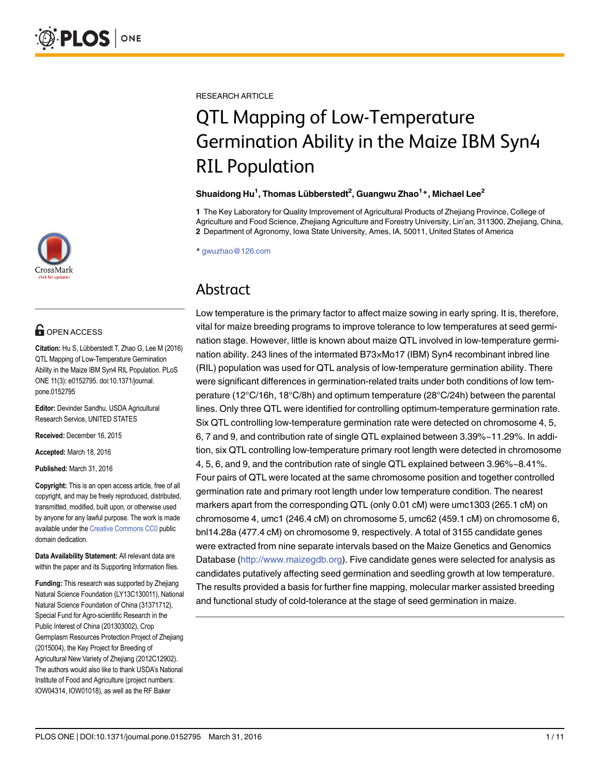

## **G** OPEN ACCESS

Citation: Hu S, Lübberstedt T, Zhao G, Lee M (2016) QTL Mapping of Low-Temperature Germination Ability in the Maize IBM Syn4 RIL Population. PLoS ONE 11(3): e0152795. doi:10.1371/journal. pone.0152795

Editor: Devinder Sandhu, USDA Agricultural Research Service, UNITED STATES

Received: December 16, 2015

Accepted: March 18, 2016

Published: March 31, 2016

Copyright: This is an open access article, free of all copyright, and may be freely reproduced, distributed, transmitted, modified, built upon, or otherwise used by anyone for any lawful purpose. The work is made available under the [Creative Commons CC0](https://creativecommons.org/publicdomain/zero/1.0/) public domain dedication.

Data Availability Statement: All relevant data are within the paper and its Supporting Information files.

Funding: This research was supported by Zhejiang Natural Science Foundation (LY13C130011), National Natural Science Foundation of China (31371712), Special Fund for Agro-scientific Research in the Public Interest of China (201303002), Crop Germplasm Resources Protection Project of Zhejiang (2015004), the Key Project for Breeding of Agricultural New Variety of Zhejiang (2012C12902). The authors would also like to thank USDA's National Institute of Food and Agriculture (project numbers: IOW04314, IOW01018), as well as the RF Baker

RESEARCH ARTICLE

# QTL Mapping of Low-Temperature<br>Germination Ability in the Maize IBM Syn4 **RIL Population**

# ا حسب السابقة المستقلة المستقلة المستقلة المستقلة المستقلة المستقلة المستقلة المستقلة المستقلة العامة المستقلة<br>"Shuaidong Hu<sup>1</sup>, Thomas Lübberstedt<sup>2</sup>, Guangwu Zhao<sup>1 \*</sup>, Michael Lee

1 The Key Laboratory for Quality Improvement of Agricultural Products of Zhejiang Province, College of Agriculture and Food Science, Zhejiang Agriculture and Forestry University, Lin'an, 311300, Zhejiang, China, 2 Department of Agronomy, Iowa State University, Ames, IA, 50011, United States of America

\* gwuzhao@126.com

## Abstract

Abstract Low temperature is the primary factor to affect maize sowing in early spring. It is, therefore, vital for maize breeding programs to improve tolerance to low temperatures at seed germination stage. However, little is known about maize QTL involved in low-temperature germination ability. 243 lines of the intermated B73×Mo17 (IBM) Syn4 recombinant inbred line (RIL) population was used for QTL analysis of low-temperature germination ability. There were significant differences in germination-related traits under both conditions of low temperature (12°C/16h, 18°C/8h) and optimum temperature (28°C/24h) between the parental lines. Only three QTL were identified for controlling optimum-temperature germination rate. Six QTL controlling low-temperature germination rate were detected on chromosome 4, 5, 6, 7 and 9, and contribution rate of single QTL explained between 3.39%~11.29%. In addition, six QTL controlling low-temperature primary root length were detected in chromosome 4, 5, 6, and 9, and the contribution rate of single QTL explained between 3.96%~8.41%. Four pairs of QTL were located at the same chromosome position and together controlled germination rate and primary root length under low temperature condition. The nearest markers apart from the corresponding QTL (only 0.01 cM) were umc1303 (265.1 cM) on chromosome 4, umc1 (246.4 cM) on chromosome 5, umc62 (459.1 cM) on chromosome 6, bnl14.28a (477.4 cM) on chromosome 9, respectively. A total of 3155 candidate genes were extracted from nine separate intervals based on the Maize Genetics and Genomics Database (<http://www.maizegdb.org>). Five candidate genes were selected for analysis as candidates putatively affecting seed germination and seedling growth at low temperature. The results provided a basis for further fine mapping, molecular marker assisted breeding and functional study of cold-tolerance at the stage of seed germination in maize.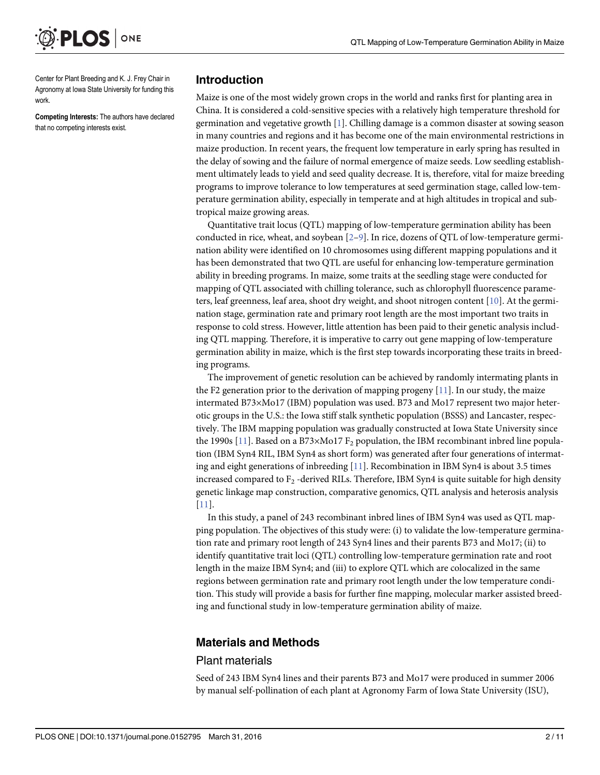<span id="page-1-0"></span>

Center for Plant Breeding and K. J. Frey Chair in Agronomy at Iowa State University for funding this work.

Competing Interests: The authors have declared that no competing interests exist.

#### Introduction

Maize is one of the most widely grown crops in the world and ranks first for planting area in China. It is considered a cold-sensitive species with a relatively high temperature threshold for germination and vegetative growth [[1\]](#page-9-0). Chilling damage is a common disaster at sowing season in many countries and regions and it has become one of the main environmental restrictions in maize production. In recent years, the frequent low temperature in early spring has resulted in the delay of sowing and the failure of normal emergence of maize seeds. Low seedling establishment ultimately leads to yield and seed quality decrease. It is, therefore, vital for maize breeding programs to improve tolerance to low temperatures at seed germination stage, called low-temperature germination ability, especially in temperate and at high altitudes in tropical and subtropical maize growing areas.

Quantitative trait locus (QTL) mapping of low-temperature germination ability has been conducted in rice, wheat, and soybean  $[2-9]$  $[2-9]$  $[2-9]$ . In rice, dozens of QTL of low-temperature germination ability were identified on 10 chromosomes using different mapping populations and it has been demonstrated that two QTL are useful for enhancing low-temperature germination ability in breeding programs. In maize, some traits at the seedling stage were conducted for mapping of QTL associated with chilling tolerance, such as chlorophyll fluorescence parame-ters, leaf greenness, leaf area, shoot dry weight, and shoot nitrogen content [[10](#page-9-0)]. At the germination stage, germination rate and primary root length are the most important two traits in response to cold stress. However, little attention has been paid to their genetic analysis including QTL mapping. Therefore, it is imperative to carry out gene mapping of low-temperature germination ability in maize, which is the first step towards incorporating these traits in breeding programs.

The improvement of genetic resolution can be achieved by randomly intermating plants in the F2 generation prior to the derivation of mapping progeny [[11](#page-9-0)]. In our study, the maize intermated B73×Mo17 (IBM) population was used. B73 and Mo17 represent two major heterotic groups in the U.S.: the Iowa stiff stalk synthetic population (BSSS) and Lancaster, respectively. The IBM mapping population was gradually constructed at Iowa State University since the 1990s  $[11]$ . Based on a B73×Mo17 F<sub>2</sub> population, the IBM recombinant inbred line population (IBM Syn4 RIL, IBM Syn4 as short form) was generated after four generations of intermating and eight generations of inbreeding [[11](#page-9-0)]. Recombination in IBM Syn4 is about 3.5 times increased compared to  $F_2$  -derived RILs. Therefore, IBM Syn4 is quite suitable for high density genetic linkage map construction, comparative genomics, QTL analysis and heterosis analysis [\[11](#page-9-0)].

In this study, a panel of 243 recombinant inbred lines of IBM Syn4 was used as QTL mapping population. The objectives of this study were: (i) to validate the low-temperature germination rate and primary root length of 243 Syn4 lines and their parents B73 and Mo17; (ii) to identify quantitative trait loci (QTL) controlling low-temperature germination rate and root length in the maize IBM Syn4; and (iii) to explore QTL which are colocalized in the same regions between germination rate and primary root length under the low temperature condition. This study will provide a basis for further fine mapping, molecular marker assisted breeding and functional study in low-temperature germination ability of maize.

#### Materials and Methods

#### Plant materials

Seed of 243 IBM Syn4 lines and their parents B73 and Mo17 were produced in summer 2006 by manual self-pollination of each plant at Agronomy Farm of Iowa State University (ISU),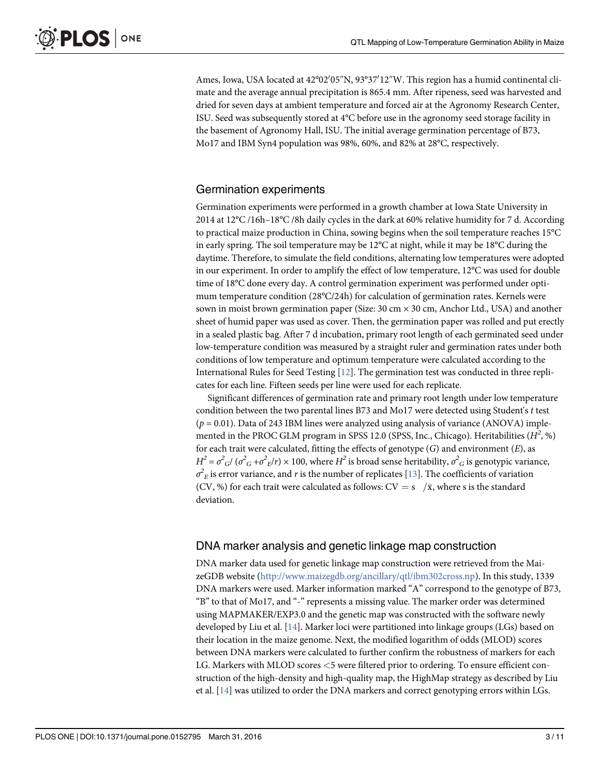<span id="page-2-0"></span>Ames, Iowa, USA located at 42°02'05"N, 93°37'12"W. This region has a humid continental climate and the average annual precipitation is 865.4 mm. After ripeness, seed was harvested and dried for seven days at ambient temperature and forced air at the Agronomy Research Center, ISU. Seed was subsequently stored at 4°C before use in the agronomy seed storage facility in the basement of Agronomy Hall, ISU. The initial average germination percentage of B73, Mo17 and IBM Syn4 population was 98%, 60%, and 82% at 28°C, respectively.

#### Germination experiments

Germination experiments were performed in a growth chamber at Iowa State University in 2014 at 12°C /16h–18°C /8h daily cycles in the dark at 60% relative humidity for 7 d. According to practical maize production in China, sowing begins when the soil temperature reaches 15°C in early spring. The soil temperature may be 12°C at night, while it may be 18°C during the daytime. Therefore, to simulate the field conditions, alternating low temperatures were adopted in our experiment. In order to amplify the effect of low temperature, 12°C was used for double time of 18°C done every day. A control germination experiment was performed under optimum temperature condition (28°C/24h) for calculation of germination rates. Kernels were sown in moist brown germination paper (Size:  $30 \text{ cm} \times 30 \text{ cm}$ , Anchor Ltd., USA) and another sheet of humid paper was used as cover. Then, the germination paper was rolled and put erectly in a sealed plastic bag. After 7 d incubation, primary root length of each germinated seed under low-temperature condition was measured by a straight ruler and germination rates under both conditions of low temperature and optimum temperature were calculated according to the International Rules for Seed Testing [[12\]](#page-9-0). The germination test was conducted in three replicates for each line. Fifteen seeds per line were used for each replicate.

Significant differences of germination rate and primary root length under low temperature condition between the two parental lines B73 and Mo17 were detected using Student's t test  $(p = 0.01)$ . Data of 243 IBM lines were analyzed using analysis of variance (ANOVA) implemented in the PROC GLM program in SPSS 12.0 (SPSS, Inc., Chicago). Heritabilities  $(H^2, \%)$ for each trait were calculated, fitting the effects of genotype  $(G)$  and environment  $(E)$ , as  $H^2 = \sigma^2 G / (\sigma^2 G + \sigma^2 E / r) \times 100$ , where  $H^2$  is broad sense heritability,  $\sigma^2 G$  is genotypic variance,  $\sigma^2_{\;E}$  is error variance, and  $r$  is the number of replicates [\[13\]](#page-9-0). The coefficients of variation (CV, %) for each trait were calculated as follows:  $CV = s$  / $\bar{x}$ , where s is the standard deviation.

#### DNA marker analysis and genetic linkage map construction

DNA marker data used for genetic linkage map construction were retrieved from the MaizeGDB website ([http://www.maizegdb.org/ancillary/qtl/ibm302cross.np\)](http://www.maizegdb.org/ancillary/qtl/ibm302cross.np). In this study, 1339 DNA markers were used. Marker information marked "A" correspond to the genotype of B73, "B" to that of Mo17, and "-" represents a missing value. The marker order was determined using MAPMAKER/EXP3.0 and the genetic map was constructed with the software newly developed by Liu et al.  $[14]$  $[14]$  $[14]$ . Marker loci were partitioned into linkage groups (LGs) based on their location in the maize genome. Next, the modified logarithm of odds (MLOD) scores between DNA markers were calculated to further confirm the robustness of markers for each LG. Markers with MLOD scores <5 were filtered prior to ordering. To ensure efficient construction of the high-density and high-quality map, the HighMap strategy as described by Liu et al. [\[14\]](#page-9-0) was utilized to order the DNA markers and correct genotyping errors within LGs.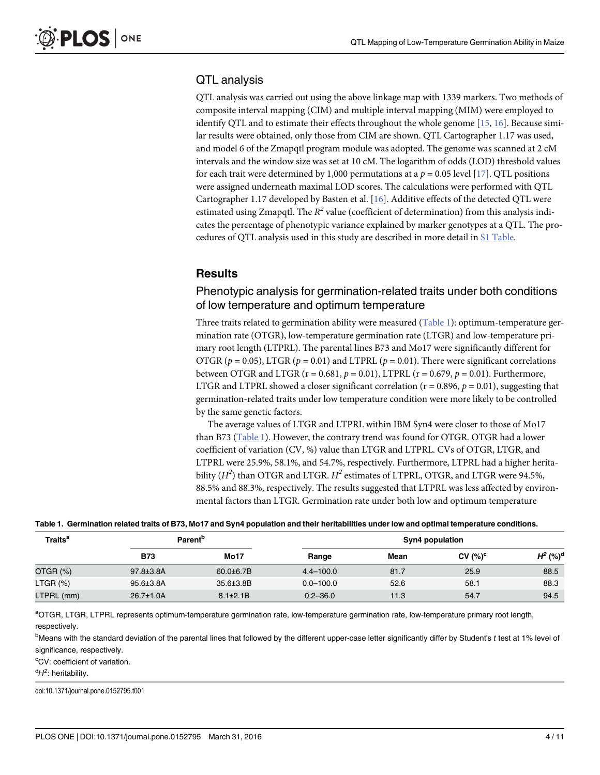#### <span id="page-3-0"></span>QTL analysis

QTL analysis was carried out using the above linkage map with 1339 markers. Two methods of composite interval mapping (CIM) and multiple interval mapping (MIM) were employed to identify QTL and to estimate their effects throughout the whole genome [\[15,](#page-9-0) [16\]](#page-10-0). Because similar results were obtained, only those from CIM are shown. QTL Cartographer 1.17 was used, and model 6 of the Zmapqtl program module was adopted. The genome was scanned at 2 cM intervals and the window size was set at 10 cM. The logarithm of odds (LOD) threshold values for each trait were determined by 1,000 permutations at a  $p = 0.05$  level [\[17\]](#page-10-0). QTL positions were assigned underneath maximal LOD scores. The calculations were performed with QTL Cartographer 1.17 developed by Basten et al. [[16](#page-10-0)]. Additive effects of the detected QTL were estimated using Zmapqtl. The  $R^2$  value (coefficient of determination) from this analysis indicates the percentage of phenotypic variance explained by marker genotypes at a QTL. The procedures of QTL analysis used in this study are described in more detail in [S1 Table](#page-8-0).

#### **Results**

#### Phenotypic analysis for germination-related traits under both conditions of low temperature and optimum temperature

Three traits related to germination ability were measured (Table 1): optimum-temperature germination rate (OTGR), low-temperature germination rate (LTGR) and low-temperature primary root length (LTPRL). The parental lines B73 and Mo17 were significantly different for OTGR ( $p = 0.05$ ), LTGR ( $p = 0.01$ ) and LTPRL ( $p = 0.01$ ). There were significant correlations between OTGR and LTGR ( $r = 0.681$ ,  $p = 0.01$ ), LTPRL ( $r = 0.679$ ,  $p = 0.01$ ). Furthermore, LTGR and LTPRL showed a closer significant correlation ( $r = 0.896$ ,  $p = 0.01$ ), suggesting that germination-related traits under low temperature condition were more likely to be controlled by the same genetic factors.

The average values of LTGR and LTPRL within IBM Syn4 were closer to those of Mo17 than B73 (Table 1). However, the contrary trend was found for OTGR. OTGR had a lower coefficient of variation (CV, %) value than LTGR and LTPRL. CVs of OTGR, LTGR, and LTPRL were 25.9%, 58.1%, and 54.7%, respectively. Furthermore, LTPRL had a higher heritability  $(H^2)$  than OTGR and LTGR.  $H^2$  estimates of LTPRL, OTGR, and LTGR were 94.5%, 88.5% and 88.3%, respectively. The results suggested that LTPRL was less affected by environmental factors than LTGR. Germination rate under both low and optimum temperature

| Table 1. Germination related traits of B73, Mo17 and Syn4 population and their heritabilities under low and optimal temperature conditions. |                            |                 |  |  |
|---------------------------------------------------------------------------------------------------------------------------------------------|----------------------------|-----------------|--|--|
| Traits <sup>a</sup>                                                                                                                         | <b>Parent</b> <sup>b</sup> | Syn4 population |  |  |

| .           | .                |                 | wyn i pwpwiation |      |            |                        |  |
|-------------|------------------|-----------------|------------------|------|------------|------------------------|--|
|             | <b>B73</b>       | <b>Mo17</b>     | Range            | Mean | CV $(%)^c$ | $H^2$ (%) <sup>d</sup> |  |
| OTGR (%)    | 97.8±3.8A        | $60.0 + 6.7B$   | $4.4 - 100.0$    | 81.7 | 25.9       | 88.5                   |  |
| $LTGR (\%)$ | 95.6±3.8A        | 35.6±3.8B       | $0.0 - 100.0$    | 52.6 | 58.1       | 88.3                   |  |
| LTPRL (mm)  | $26.7 \pm 1.0$ A | $8.1 \pm 2.1 B$ | $0.2 - 36.0$     | 11.3 | 54.7       | 94.5                   |  |

a<br>OTGR, LTGR, LTPRL represents optimum-temperature germination rate, low-temperature germination rate, low-temperature primary root length, respectively.

<sup>b</sup>Means with the standard deviation of the parental lines that followed by the different upper-case letter significantly differ by Student's t test at 1% level of significance, respectively.

<sup>c</sup>CV: coefficient of variation.

<sup>d</sup>H<sup>2</sup>: heritability.

doi:10.1371/journal.pone.0152795.t001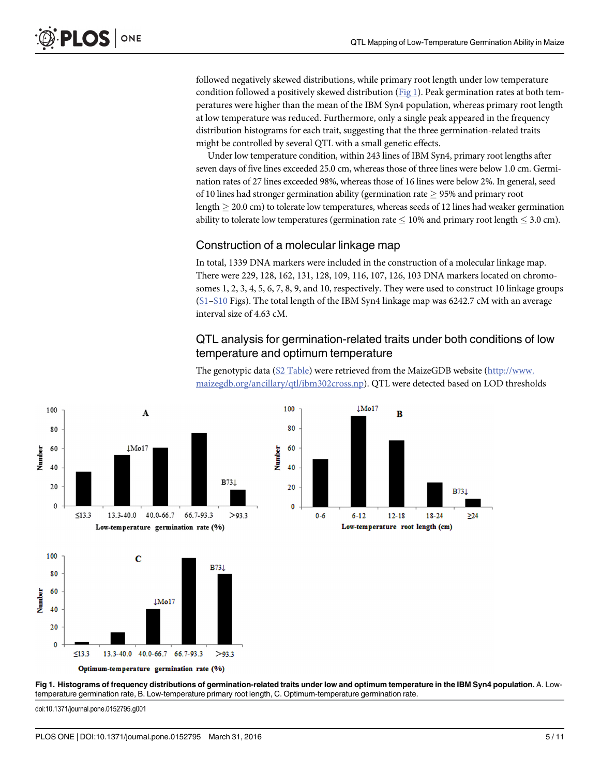followed negatively skewed distributions, while primary root length under low temperature condition followed a positively skewed distribution ( $Fig 1$ ). Peak germination rates at both temperatures were higher than the mean of the IBM Syn4 population, whereas primary root length at low temperature was reduced. Furthermore, only a single peak appeared in the frequency distribution histograms for each trait, suggesting that the three germination-related traits might be controlled by several QTL with a small genetic effects.

Under low temperature condition, within 243 lines of IBM Syn4, primary root lengths after seven days of five lines exceeded 25.0 cm, whereas those of three lines were below 1.0 cm. Germination rates of 27 lines exceeded 98%, whereas those of 16 lines were below 2%. In general, seed of 10 lines had stronger germination ability (germination rate  $\geq$  95% and primary root  $\text{length} \geq 20.0$  cm) to tolerate low temperatures, whereas seeds of 12 lines had weaker germination ability to tolerate low temperatures (germination rate  $\leq 10\%$  and primary root length  $\leq 3.0$  cm).

#### Construction of a molecular linkage map

In total, 1339 DNA markers were included in the construction of a molecular linkage map. There were 229, 128, 162, 131, 128, 109, 116, 107, 126, 103 DNA markers located on chromosomes 1, 2, 3, 4, 5, 6, 7, 8, 9, and 10, respectively. They were used to construct 10 linkage groups [\(S1](#page-8-0)–[S10](#page-8-0) Figs). The total length of the IBM Syn4 linkage map was 6242.7 cM with an average interval size of 4.63 cM.

#### QTL analysis for germination-related traits under both conditions of low temperature and optimum temperature

The genotypic data [\(S2 Table](#page-8-0)) were retrieved from the MaizeGDB website ([http://www.](http://www.maizegdb.org/ancillary/qtl/ibm302cross.np) [maizegdb.org/ancillary/qtl/ibm302cross.np](http://www.maizegdb.org/ancillary/qtl/ibm302cross.np)). QTL were detected based on LOD thresholds





doi:10.1371/journal.pone.0152795.g001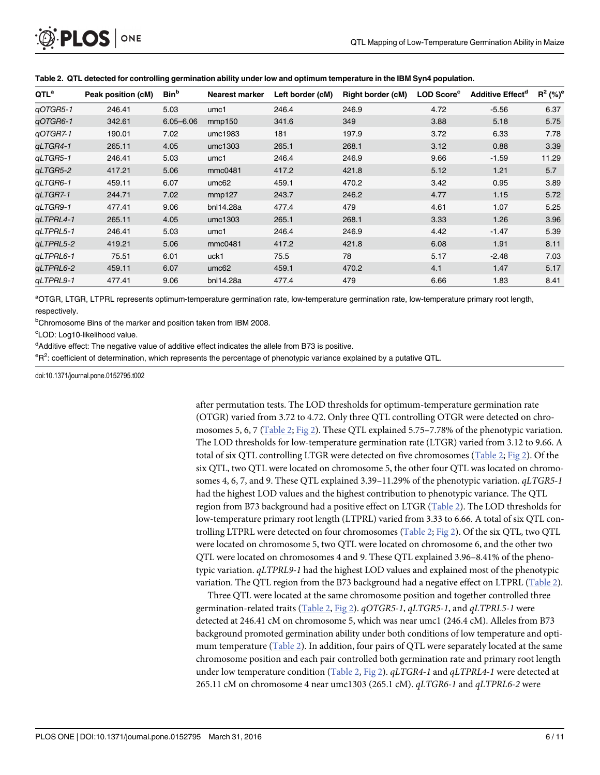<span id="page-5-0"></span>

| QTL <sup>a</sup> | Peak position (cM) | <b>Bin</b> b  | Nearest marker    | Left border (cM) | Right border (cM) | <b>LOD Score</b> <sup>c</sup> | <b>Additive Effect<sup>a</sup></b> | $R^2$ (%) <sup>e</sup> |
|------------------|--------------------|---------------|-------------------|------------------|-------------------|-------------------------------|------------------------------------|------------------------|
| qOTGR5-1         | 246.41             | 5.03          | umc1              | 246.4            | 246.9             | 4.72                          | $-5.56$                            | 6.37                   |
| qOTGR6-1         | 342.61             | $6.05 - 6.06$ | mmp150            | 341.6            | 349               | 3.88                          | 5.18                               | 5.75                   |
| qOTGR7-1         | 190.01             | 7.02          | umc1983           | 181              | 197.9             | 3.72                          | 6.33                               | 7.78                   |
| gLTGR4-1         | 265.11             | 4.05          | umc1303           | 265.1            | 268.1             | 3.12                          | 0.88                               | 3.39                   |
| gLTGR5-1         | 246.41             | 5.03          | umc1              | 246.4            | 246.9             | 9.66                          | $-1.59$                            | 11.29                  |
| gLTGR5-2         | 417.21             | 5.06          | mmc0481           | 417.2            | 421.8             | 5.12                          | 1.21                               | 5.7                    |
| qLTGR6-1         | 459.11             | 6.07          | um <sub>c62</sub> | 459.1            | 470.2             | 3.42                          | 0.95                               | 3.89                   |
| aLTGR7-1         | 244.71             | 7.02          | mmp127            | 243.7            | 246.2             | 4.77                          | 1.15                               | 5.72                   |
| qLTGR9-1         | 477.41             | 9.06          | bnl14.28a         | 477.4            | 479               | 4.61                          | 1.07                               | 5.25                   |
| gLTPRL4-1        | 265.11             | 4.05          | umc1303           | 265.1            | 268.1             | 3.33                          | 1.26                               | 3.96                   |
| gLTPRL5-1        | 246.41             | 5.03          | umc1              | 246.4            | 246.9             | 4.42                          | $-1.47$                            | 5.39                   |
| gLTPRL5-2        | 419.21             | 5.06          | mmc0481           | 417.2            | 421.8             | 6.08                          | 1.91                               | 8.11                   |
| gLTPRL6-1        | 75.51              | 6.01          | uck1              | 75.5             | 78                | 5.17                          | $-2.48$                            | 7.03                   |
| gLTPRL6-2        | 459.11             | 6.07          | um <sub>c62</sub> | 459.1            | 470.2             | 4.1                           | 1.47                               | 5.17                   |
| gLTPRL9-1        | 477.41             | 9.06          | bnl14.28a         | 477.4            | 479               | 6.66                          | 1.83                               | 8.41                   |

Table 2. QTL detected for controlling germination ability under low and optimum temperature in the IBM Syn4 population.

a<br>OTGR, LTGR, LTPRL represents optimum-temperature germination rate, low-temperature germination rate, low-temperature primary root length, respectively.

<sup>b</sup>Chromosome Bins of the marker and position taken from IBM 2008.

<sup>c</sup>LOD: Log10-likelihood value.

<sup>d</sup>Additive effect: The negative value of additive effect indicates the allele from B73 is positive.

<sup>e</sup>R<sup>2</sup>: coefficient of determination, which represents the percentage of phenotypic variance explained by a putative QTL.

doi:10.1371/journal.pone.0152795.t002

after permutation tests. The LOD thresholds for optimum-temperature germination rate (OTGR) varied from 3.72 to 4.72. Only three QTL controlling OTGR were detected on chro-mosomes 5, 6, 7 (Table 2; [Fig 2\)](#page-6-0). These QTL explained 5.75–7.78% of the phenotypic variation. The LOD thresholds for low-temperature germination rate (LTGR) varied from 3.12 to 9.66. A total of six QTL controlling LTGR were detected on five chromosomes (Table 2; [Fig 2](#page-6-0)). Of the six QTL, two QTL were located on chromosome 5, the other four QTL was located on chromosomes 4, 6, 7, and 9. These QTL explained 3.39–11.29% of the phenotypic variation.  $qLTGR5-1$ had the highest LOD values and the highest contribution to phenotypic variance. The QTL region from B73 background had a positive effect on LTGR (Table 2). The LOD thresholds for low-temperature primary root length (LTPRL) varied from 3.33 to 6.66. A total of six QTL controlling LTPRL were detected on four chromosomes (Table 2; [Fig 2\)](#page-6-0). Of the six QTL, two QTL were located on chromosome 5, two QTL were located on chromosome 6, and the other two QTL were located on chromosomes 4 and 9. These QTL explained 3.96–8.41% of the phenotypic variation. qLTPRL9-1 had the highest LOD values and explained most of the phenotypic variation. The QTL region from the B73 background had a negative effect on LTPRL (Table 2).

Three QTL were located at the same chromosome position and together controlled three germination-related traits (Table 2, [Fig 2\)](#page-6-0).  $qOTGR5-1$ ,  $qLTGR5-1$ , and  $qLTPRL5-1$  were detected at 246.41 cM on chromosome 5, which was near umc1 (246.4 cM). Alleles from B73 background promoted germination ability under both conditions of low temperature and optimum temperature ( $Table 2$ ). In addition, four pairs of QTL were separately located at the same chromosome position and each pair controlled both germination rate and primary root length under low temperature condition (Table 2, [Fig 2](#page-6-0)).  $qLTGR4-1$  and  $qLTPRI4-1$  were detected at 265.11 cM on chromosome 4 near umc1303 (265.1 cM). qLTGR6-1 and qLTPRL6-2 were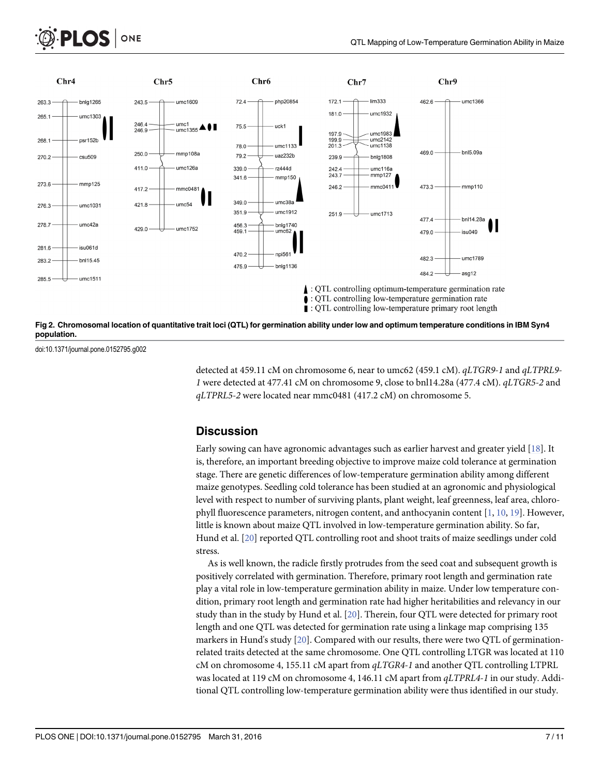<span id="page-6-0"></span>

[Fig 2. C](#page-5-0)hromosomal location of quantitative trait loci (QTL) for germination ability under low and optimum temperature conditions in IBM Syn4 population.

doi:10.1371/journal.pone.0152795.g002

**PLOS I** 

ONE

detected at 459.11 cM on chromosome 6, near to umc62 (459.1 cM). qLTGR9-1 and qLTPRL9- 1 were detected at 477.41 cM on chromosome 9, close to bnl14.28a (477.4 cM). qLTGR5-2 and qLTPRL5-2 were located near mmc0481 (417.2 cM) on chromosome 5.

#### **Discussion**

Early sowing can have agronomic advantages such as earlier harvest and greater yield [\[18\]](#page-10-0). It is, therefore, an important breeding objective to improve maize cold tolerance at germination stage. There are genetic differences of low-temperature germination ability among different maize genotypes. Seedling cold tolerance has been studied at an agronomic and physiological level with respect to number of surviving plants, plant weight, leaf greenness, leaf area, chlorophyll fluorescence parameters, nitrogen content, and anthocyanin content [[1](#page-9-0), [10](#page-9-0), [19](#page-10-0)]. However, little is known about maize QTL involved in low-temperature germination ability. So far, Hund et al. [[20](#page-10-0)] reported QTL controlling root and shoot traits of maize seedlings under cold stress.

As is well known, the radicle firstly protrudes from the seed coat and subsequent growth is positively correlated with germination. Therefore, primary root length and germination rate play a vital role in low-temperature germination ability in maize. Under low temperature condition, primary root length and germination rate had higher heritabilities and relevancy in our study than in the study by Hund et al. [[20](#page-10-0)]. Therein, four QTL were detected for primary root length and one QTL was detected for germination rate using a linkage map comprising 135 markers in Hund's study [\[20\]](#page-10-0). Compared with our results, there were two QTL of germinationrelated traits detected at the same chromosome. One QTL controlling LTGR was located at 110 cM on chromosome 4, 155.11 cM apart from qLTGR4-1 and another QTL controlling LTPRL was located at 119 cM on chromosome 4, 146.11 cM apart from  $qLTPRL4-1$  in our study. Additional QTL controlling low-temperature germination ability were thus identified in our study.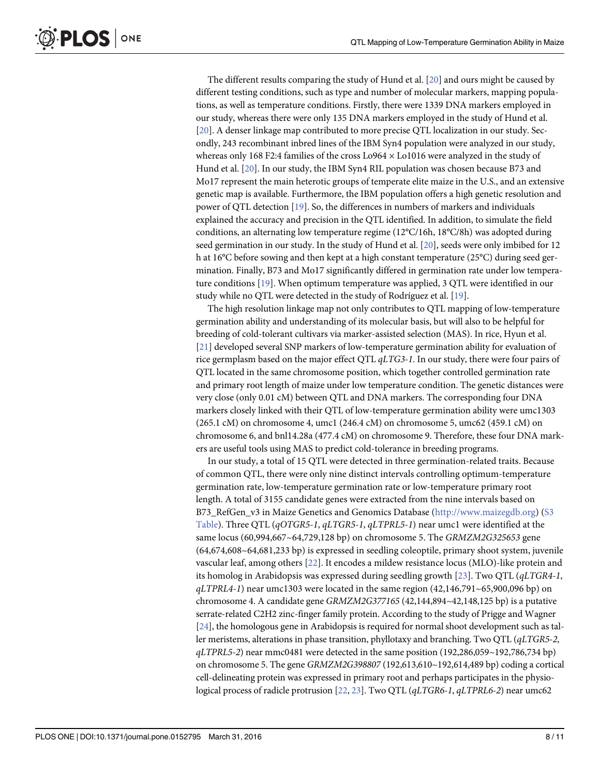The different results comparing the study of Hund et al. [\[20\]](#page-10-0) and ours might be caused by different testing conditions, such as type and number of molecular markers, mapping populations, as well as temperature conditions. Firstly, there were 1339 DNA markers employed in our study, whereas there were only 135 DNA markers employed in the study of Hund et al. [\[20](#page-10-0)]. A denser linkage map contributed to more precise QTL localization in our study. Secondly, 243 recombinant inbred lines of the IBM Syn4 population were analyzed in our study, whereas only 168 F2:4 families of the cross Lo964 × Lo1016 were analyzed in the study of Hund et al. [[20](#page-10-0)]. In our study, the IBM Syn4 RIL population was chosen because B73 and Mo17 represent the main heterotic groups of temperate elite maize in the U.S., and an extensive genetic map is available. Furthermore, the IBM population offers a high genetic resolution and power of QTL detection [[19](#page-10-0)]. So, the differences in numbers of markers and individuals explained the accuracy and precision in the QTL identified. In addition, to simulate the field conditions, an alternating low temperature regime (12°C/16h, 18°C/8h) was adopted during seed germination in our study. In the study of Hund et al. [\[20](#page-10-0)], seeds were only imbibed for 12 h at 16°C before sowing and then kept at a high constant temperature (25°C) during seed germination. Finally, B73 and Mo17 significantly differed in germination rate under low temperature conditions [\[19\]](#page-10-0). When optimum temperature was applied, 3 QTL were identified in our study while no QTL were detected in the study of Rodríguez et al. [[19](#page-10-0)].

The high resolution linkage map not only contributes to QTL mapping of low-temperature germination ability and understanding of its molecular basis, but will also to be helpful for breeding of cold-tolerant cultivars via marker-assisted selection (MAS). In rice, Hyun et al. [\[21](#page-10-0)] developed several SNP markers of low-temperature germination ability for evaluation of rice germplasm based on the major effect QTL qLTG3-1. In our study, there were four pairs of QTL located in the same chromosome position, which together controlled germination rate and primary root length of maize under low temperature condition. The genetic distances were very close (only 0.01 cM) between QTL and DNA markers. The corresponding four DNA markers closely linked with their QTL of low-temperature germination ability were umc1303 (265.1 cM) on chromosome 4, umc1 (246.4 cM) on chromosome 5, umc62 (459.1 cM) on chromosome 6, and bnl14.28a (477.4 cM) on chromosome 9. Therefore, these four DNA markers are useful tools using MAS to predict cold-tolerance in breeding programs.

In our study, a total of 15 QTL were detected in three germination-related traits. Because of common QTL, there were only nine distinct intervals controlling optimum-temperature germination rate, low-temperature germination rate or low-temperature primary root length. A total of 3155 candidate genes were extracted from the nine intervals based on B73\_RefGen\_v3 in Maize Genetics and Genomics Database ([http://www.maizegdb.org\)](http://www.maizegdb.org) ([S3](#page-8-0) [Table](#page-8-0)). Three QTL (qOTGR5-1, qLTGR5-1, qLTPRL5-1) near umc1 were identified at the same locus (60,994,667~64,729,128 bp) on chromosome 5. The GRMZM2G325653 gene (64,674,608~64,681,233 bp) is expressed in seedling coleoptile, primary shoot system, juvenile vascular leaf, among others [[22](#page-10-0)]. It encodes a mildew resistance locus (MLO)-like protein and its homolog in Arabidopsis was expressed during seedling growth  $[23]$  $[23]$ . Two QTL ( $qLTGR4-1$ ,  $qLTPRL4-1$ ) near umc1303 were located in the same region  $(42,146,791~65,900,096$  bp) on chromosome 4. A candidate gene GRMZM2G377165 (42,144,894~42,148,125 bp) is a putative serrate-related C2H2 zinc-finger family protein. According to the study of Prigge and Wagner [\[24\]](#page-10-0), the homologous gene in Arabidopsis is required for normal shoot development such as taller meristems, alterations in phase transition, phyllotaxy and branching. Two QTL (*qLTGR5-2*, qLTPRL5-2) near mmc0481 were detected in the same position (192,286,059~192,786,734 bp) on chromosome 5. The gene GRMZM2G398807 (192,613,610~192,614,489 bp) coding a cortical cell-delineating protein was expressed in primary root and perhaps participates in the physiological process of radicle protrusion  $[22, 23]$  $[22, 23]$  $[22, 23]$  $[22, 23]$ . Two QTL (qLTGR6-1, qLTPRL6-2) near umc62

<span id="page-7-0"></span> $PLOS |$  ONE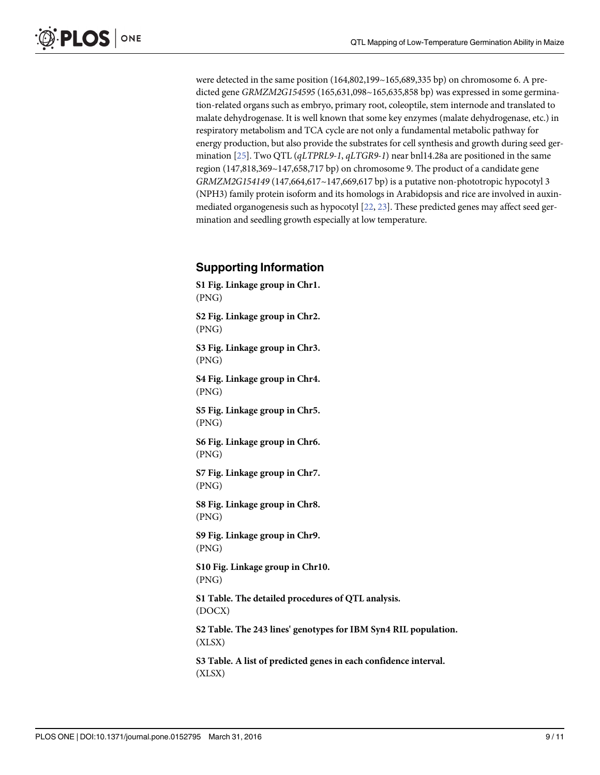<span id="page-8-0"></span>were detected in the same position (164,802,199~165,689,335 bp) on chromosome 6. A predicted gene GRMZM2G154595 (165,631,098~165,635,858 bp) was expressed in some germination-related organs such as embryo, primary root, coleoptile, stem internode and translated to malate dehydrogenase. It is well known that some key enzymes (malate dehydrogenase, etc.) in respiratory metabolism and TCA cycle are not only a fundamental metabolic pathway for energy production, but also provide the substrates for cell synthesis and growth during seed germination [[25](#page-10-0)]. Two QTL (qLTPRL9-1, qLTGR9-1) near bnl14.28a are positioned in the same region (147,818,369~147,658,717 bp) on chromosome 9. The product of a candidate gene GRMZM2G154149 (147,664,617~147,669,617 bp) is a putative non-phototropic hypocotyl 3 (NPH3) family protein isoform and its homologs in Arabidopsis and rice are involved in auxinmediated organogenesis such as hypocotyl  $[22, 23]$  $[22, 23]$  $[22, 23]$  $[22, 23]$ . These predicted genes may affect seed germination and seedling growth especially at low temperature.

#### Supporting Information

[S1 Fig.](http://www.plosone.org/article/fetchSingleRepresentation.action?uri=info:doi/10.1371/journal.pone.0152795.s001) Linkage group in Chr1. (PNG) [S2 Fig.](http://www.plosone.org/article/fetchSingleRepresentation.action?uri=info:doi/10.1371/journal.pone.0152795.s002) Linkage group in Chr2. (PNG) [S3 Fig.](http://www.plosone.org/article/fetchSingleRepresentation.action?uri=info:doi/10.1371/journal.pone.0152795.s003) Linkage group in Chr3. (PNG) [S4 Fig.](http://www.plosone.org/article/fetchSingleRepresentation.action?uri=info:doi/10.1371/journal.pone.0152795.s004) Linkage group in Chr4. (PNG) [S5 Fig.](http://www.plosone.org/article/fetchSingleRepresentation.action?uri=info:doi/10.1371/journal.pone.0152795.s005) Linkage group in Chr5. (PNG) [S6 Fig.](http://www.plosone.org/article/fetchSingleRepresentation.action?uri=info:doi/10.1371/journal.pone.0152795.s006) Linkage group in Chr6. (PNG) [S7 Fig.](http://www.plosone.org/article/fetchSingleRepresentation.action?uri=info:doi/10.1371/journal.pone.0152795.s007) Linkage group in Chr7. (PNG) [S8 Fig.](http://www.plosone.org/article/fetchSingleRepresentation.action?uri=info:doi/10.1371/journal.pone.0152795.s008) Linkage group in Chr8. (PNG) [S9 Fig.](http://www.plosone.org/article/fetchSingleRepresentation.action?uri=info:doi/10.1371/journal.pone.0152795.s009) Linkage group in Chr9. (PNG) [S10 Fig.](http://www.plosone.org/article/fetchSingleRepresentation.action?uri=info:doi/10.1371/journal.pone.0152795.s010) Linkage group in Chr10. (PNG) [S1 Table](http://www.plosone.org/article/fetchSingleRepresentation.action?uri=info:doi/10.1371/journal.pone.0152795.s011). The detailed procedures of QTL analysis. (DOCX) [S2 Table](http://www.plosone.org/article/fetchSingleRepresentation.action?uri=info:doi/10.1371/journal.pone.0152795.s012). The 243 lines' genotypes for IBM Syn4 RIL population. (XLSX) [S3 Table](http://www.plosone.org/article/fetchSingleRepresentation.action?uri=info:doi/10.1371/journal.pone.0152795.s013). A list of predicted genes in each confidence interval. (XLSX)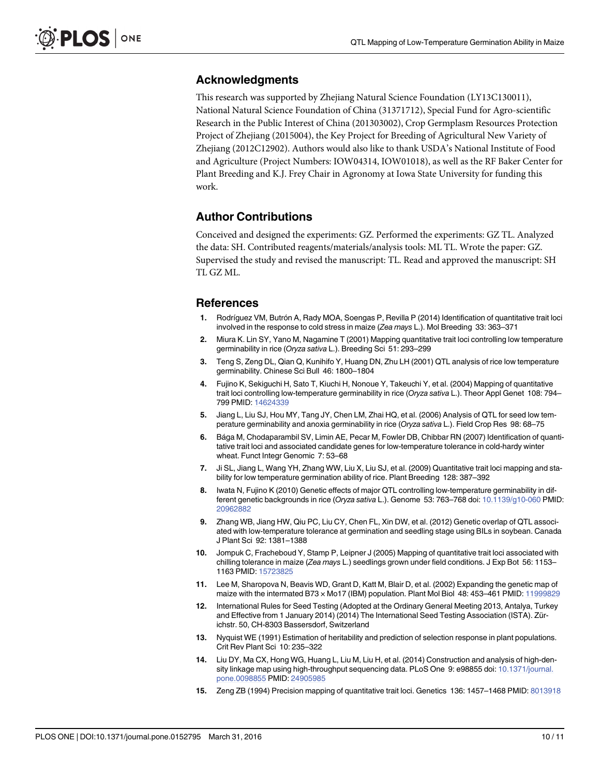#### <span id="page-9-0"></span>Acknowledgments

This research was supported by Zhejiang Natural Science Foundation (LY13C130011), National Natural Science Foundation of China (31371712), Special Fund for Agro-scientific Research in the Public Interest of China (201303002), Crop Germplasm Resources Protection Project of Zhejiang (2015004), the Key Project for Breeding of Agricultural New Variety of Zhejiang (2012C12902). Authors would also like to thank USDA's National Institute of Food and Agriculture (Project Numbers: IOW04314, IOW01018), as well as the RF Baker Center for Plant Breeding and K.J. Frey Chair in Agronomy at Iowa State University for funding this work.

#### Author Contributions

Conceived and designed the experiments: GZ. Performed the experiments: GZ TL. Analyzed the data: SH. Contributed reagents/materials/analysis tools: ML TL. Wrote the paper: GZ. Supervised the study and revised the manuscript: TL. Read and approved the manuscript: SH TL GZ ML.

#### References

- [1.](#page-1-0) Rodríguez VM, Butrón A, Rady MOA, Soengas P, Revilla P (2014) Identification of quantitative trait loci involved in the response to cold stress in maize (Zea mays L.). Mol Breeding 33: 363–371
- [2.](#page-1-0) Miura K. Lin SY, Yano M, Nagamine T (2001) Mapping quantitative trait loci controlling low temperature germinability in rice (Oryza sativa L.). Breeding Sci 51: 293–299
- 3. Teng S, Zeng DL, Qian Q, Kunihifo Y, Huang DN, Zhu LH (2001) QTL analysis of rice low temperature germinability. Chinese Sci Bull 46: 1800–1804
- 4. Fujino K, Sekiguchi H, Sato T, Kiuchi H, Nonoue Y, Takeuchi Y, et al. (2004) Mapping of quantitative trait loci controlling low-temperature germinability in rice (Oryza sativa L.). Theor Appl Genet 108: 794– 799 PMID: [14624339](http://www.ncbi.nlm.nih.gov/pubmed/14624339)
- 5. Jiang L, Liu SJ, Hou MY, Tang JY, Chen LM, Zhai HQ, et al. (2006) Analysis of QTL for seed low temperature germinability and anoxia germinability in rice (Oryza sativa L.). Field Crop Res 98: 68-75
- 6. Bága M, Chodaparambil SV, Limin AE, Pecar M, Fowler DB, Chibbar RN (2007) Identification of quantitative trait loci and associated candidate genes for low-temperature tolerance in cold-hardy winter wheat. Funct Integr Genomic 7: 53–68
- 7. Ji SL, Jiang L, Wang YH, Zhang WW, Liu X, Liu SJ, et al. (2009) Quantitative trait loci mapping and stability for low temperature germination ability of rice. Plant Breeding 128: 387–392
- 8. Iwata N, Fujino K (2010) Genetic effects of major QTL controlling low-temperature germinability in dif-ferent genetic backgrounds in rice (Oryza sativa L.). Genome 53: 763-768 doi: [10.1139/g10-060](http://dx.doi.org/10.1139/g10-060) PMID: [20962882](http://www.ncbi.nlm.nih.gov/pubmed/20962882)
- [9.](#page-1-0) Zhang WB, Jiang HW, Qiu PC, Liu CY, Chen FL, Xin DW, et al. (2012) Genetic overlap of QTL associated with low-temperature tolerance at germination and seedling stage using BILs in soybean. Canada J Plant Sci 92: 1381–1388
- [10.](#page-1-0) Jompuk C, Fracheboud Y, Stamp P, Leipner J (2005) Mapping of quantitative trait loci associated with chilling tolerance in maize (Zea mays L.) seedlings grown under field conditions. J Exp Bot 56: 1153-1163 PMID: [15723825](http://www.ncbi.nlm.nih.gov/pubmed/15723825)
- [11.](#page-1-0) Lee M, Sharopova N, Beavis WD, Grant D, Katt M, Blair D, et al. (2002) Expanding the genetic map of maize with the intermated B73 × Mo17 (IBM) population. Plant Mol Biol 48: 453–461 PMID: [11999829](http://www.ncbi.nlm.nih.gov/pubmed/11999829)
- [12.](#page-2-0) International Rules for Seed Testing (Adopted at the Ordinary General Meeting 2013, Antalya, Turkey and Effective from 1 January 2014) (2014) The International Seed Testing Association (ISTA). Zürichstr. 50, CH-8303 Bassersdorf, Switzerland
- [13.](#page-2-0) Nyquist WE (1991) Estimation of heritability and prediction of selection response in plant populations. Crit Rev Plant Sci 10: 235–322
- [14.](#page-2-0) Liu DY, Ma CX, Hong WG, Huang L, Liu M, Liu H, et al. (2014) Construction and analysis of high-density linkage map using high-throughput sequencing data. PLoS One 9: e98855 doi: [10.1371/journal.](http://dx.doi.org/10.1371/journal.pone.0098855) [pone.0098855](http://dx.doi.org/10.1371/journal.pone.0098855) PMID: [24905985](http://www.ncbi.nlm.nih.gov/pubmed/24905985)
- [15.](#page-3-0) Zeng ZB (1994) Precision mapping of quantitative trait loci. Genetics 136: 1457–1468 PMID: [8013918](http://www.ncbi.nlm.nih.gov/pubmed/8013918)